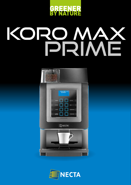

# PRIME Koro MAX



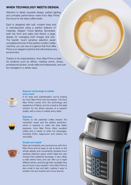## WHEN TECHNOLOGY MEETS DESIGN.

Attention to detail, exquisite design, perfect lighting and unrivaled performance make Koro Max Prime the focus for the ideal coffee break.

Each is designed with soft, modern lines and is manufactured using a perfect balance of materials. Elegant 'mood lighting' illuminates both the front and sides and there's a large display for managing both images and text. The backlit, touch sensitive selection panel completes the look of this perfect modern coffee machine: you can see at a glance that Koro Max Prime is an elegant machine that will enhance any environment.

Thanks to its characteristics, Koro Max Prime is ideal for locations such as offices, meeting rooms, shops, professional studios, small cafés and restaurants, and can be managed in a variety ways.



### Superior technology to satisfy every need

If it's style and sophistication you're looking for, Koro Max Prime has the answer. The Koro Max Prime comes from the technology and experience of Necta, and as a result is the ideal solution for hot drinks services of a superior quality, with a menu to satisfy every taste.

### Espresso

Thanks to the patented coffee brewer, the volumetric doser and the perfect extraction, which is required to make the best Italian espresso, Koro Max Prime offers excellent coffee and a variety of other hot beverages, including frothy cappuccino and creamy hot chocolate.

### Simple and stylish



Style and simplicity are synonymous with Koro Max Prime and its ease of use is down to the simple display and conveniently situated touch sensitive selection panel, which helps the user choose their preferred beverage. It also offers a wide drinks menu and can offer up to eight different drinks, and through their versatility they are at home in any situation. Koro Max Prime is also small in size and light, making it easy to position into any location and move around.

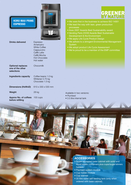# KORO MAX PRIME **ESPRESSO**



Drinks delivered Espresso

 Americano White Coffee **Cappuccino**  Caffè Latte Caffè Mocha Hot Chocolate Hot water

**Optional replaces** Chocomilk one of the other selections

Ingredients capacity Coffee beans 1.0 kg

 Whitener 0.75 kg Chocolate 1.5 kg

Dimensions (HxWxD) 610 x 330 x 530 mm

Weight 28 kg

Approx No. of coffees 100 cups before refilling

• We were first in the business to achieve ISO 14001

- We lead the way with lean, green production processes
- Avex 2007 Awards Best Sustainability award
- Vending Paris 2OO8 Awards Best Sustainable Development & the Environment
- We apply Life Cycle Product Design
- We adhere to a stringent Environmental Management **System**
- We adopt product Life Cycle Assessment
- We're proud to be a member of the EMP committee

Available in two versions:

• Plumbed

• 3.5 litre internal tank



- Super-equipped base cabinet with solid and liquid waste containers plus cups/sugar/stirrers holders
- Payment system module
- Cup holder module • Cup warmer
- 20 litre water self feeding tank (only when ordered with base cabinet)